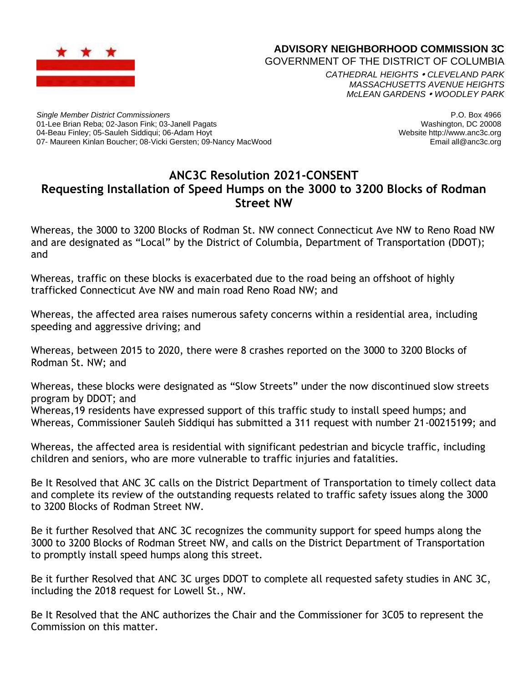

## **ADVISORY NEIGHBORHOOD COMMISSION 3C**

GOVERNMENT OF THE DISTRICT OF COLUMBIA

*CATHEDRAL HEIGHTS CLEVELAND PARK MASSACHUSETTS AVENUE HEIGHTS McLEAN GARDENS WOODLEY PARK*

*Single Member District Commissioners* 01-Lee Brian Reba; 02-Jason Fink; 03-Janell Pagats 04-Beau Finley; 05-Sauleh Siddiqui; 06-Adam Hoyt 07- Maureen Kinlan Boucher; 08-Vicki Gersten; 09-Nancy MacWood

P.O. Box 4966 Washington, DC 20008 Website http://www.anc3c.org Email all@anc3c.org

## **ANC3C Resolution 2021-CONSENT Requesting Installation of Speed Humps on the 3000 to 3200 Blocks of Rodman Street NW**

Whereas, the 3000 to 3200 Blocks of Rodman St. NW connect Connecticut Ave NW to Reno Road NW and are designated as "Local" by the District of Columbia, Department of Transportation (DDOT); and

Whereas, traffic on these blocks is exacerbated due to the road being an offshoot of highly trafficked Connecticut Ave NW and main road Reno Road NW; and

Whereas, the affected area raises numerous safety concerns within a residential area, including speeding and aggressive driving; and

Whereas, between 2015 to 2020, there were 8 crashes reported on the 3000 to 3200 Blocks of Rodman St. NW; and

Whereas, these blocks were designated as "Slow Streets" under the now discontinued slow streets program by DDOT; and

Whereas,19 residents have expressed support of this traffic study to install speed humps; and Whereas, Commissioner Sauleh Siddiqui has submitted a 311 request with number 21-00215199; and

Whereas, the affected area is residential with significant pedestrian and bicycle traffic, including children and seniors, who are more vulnerable to traffic injuries and fatalities.

Be It Resolved that ANC 3C calls on the District Department of Transportation to timely collect data and complete its review of the outstanding requests related to traffic safety issues along the 3000 to 3200 Blocks of Rodman Street NW.

Be it further Resolved that ANC 3C recognizes the community support for speed humps along the 3000 to 3200 Blocks of Rodman Street NW, and calls on the District Department of Transportation to promptly install speed humps along this street.

Be it further Resolved that ANC 3C urges DDOT to complete all requested safety studies in ANC 3C, including the 2018 request for Lowell St., NW.

Be It Resolved that the ANC authorizes the Chair and the Commissioner for 3C05 to represent the Commission on this matter.